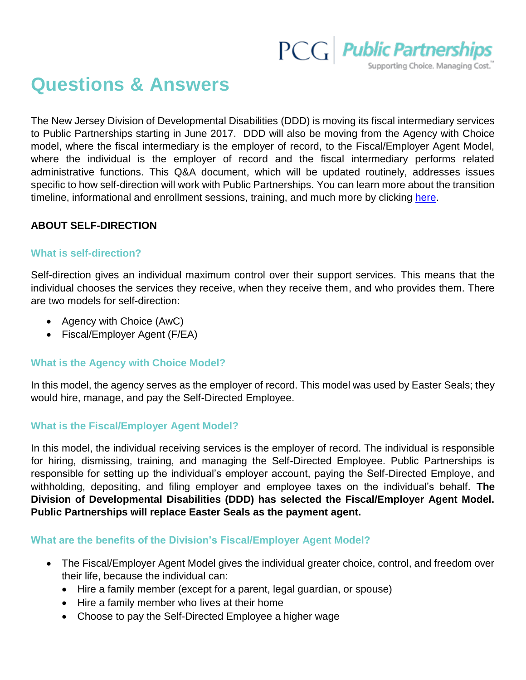

# **Questions & Answers**

The New Jersey Division of Developmental Disabilities (DDD) is moving its fiscal intermediary services to Public Partnerships starting in June 2017. DDD will also be moving from the Agency with Choice model, where the fiscal intermediary is the employer of record, to the Fiscal/Employer Agent Model, where the individual is the employer of record and the fiscal intermediary performs related administrative functions. This Q&A document, which will be updated routinely, addresses issues specific to how self-direction will work with Public Partnerships. You can learn more about the transition timeline, informational and enrollment sessions, training, and much more by clicking [here.](http://www.publicpartnerships.com/programs/newjersey/ddd/index.html)

# **ABOUT SELF-DIRECTION**

## **What is self-direction?**

Self-direction gives an individual maximum control over their support services. This means that the individual chooses the services they receive, when they receive them, and who provides them. There are two models for self-direction:

- Agency with Choice (AwC)
- Fiscal/Employer Agent (F/EA)

## **What is the Agency with Choice Model?**

In this model, the agency serves as the employer of record. This model was used by Easter Seals; they would hire, manage, and pay the Self-Directed Employee.

## **What is the Fiscal/Employer Agent Model?**

In this model, the individual receiving services is the employer of record. The individual is responsible for hiring, dismissing, training, and managing the Self-Directed Employee. Public Partnerships is responsible for setting up the individual's employer account, paying the Self-Directed Employe, and withholding, depositing, and filing employer and employee taxes on the individual's behalf. **The Division of Developmental Disabilities (DDD) has selected the Fiscal/Employer Agent Model. Public Partnerships will replace Easter Seals as the payment agent.**

## **What are the benefits of the Division's Fiscal/Employer Agent Model?**

- The Fiscal/Employer Agent Model gives the individual greater choice, control, and freedom over their life, because the individual can:
	- Hire a family member (except for a parent, legal guardian, or spouse)
	- Hire a family member who lives at their home
	- Choose to pay the Self-Directed Employee a higher wage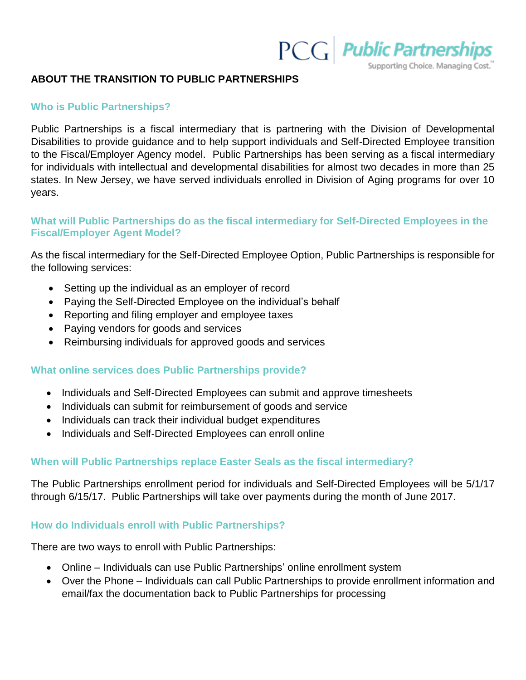

Supporting Choice. Managing Cost.

#### **ABOUT THE TRANSITION TO PUBLIC PARTNERSHIPS**

#### **Who is Public Partnerships?**

Public Partnerships is a fiscal intermediary that is partnering with the Division of Developmental Disabilities to provide guidance and to help support individuals and Self-Directed Employee transition to the Fiscal/Employer Agency model. Public Partnerships has been serving as a fiscal intermediary for individuals with intellectual and developmental disabilities for almost two decades in more than 25 states. In New Jersey, we have served individuals enrolled in Division of Aging programs for over 10 years.

## **What will Public Partnerships do as the fiscal intermediary for Self-Directed Employees in the Fiscal/Employer Agent Model?**

As the fiscal intermediary for the Self-Directed Employee Option, Public Partnerships is responsible for the following services:

- Setting up the individual as an employer of record
- Paying the Self-Directed Employee on the individual's behalf
- Reporting and filing employer and employee taxes
- Paying vendors for goods and services
- Reimbursing individuals for approved goods and services

## **What online services does Public Partnerships provide?**

- Individuals and Self-Directed Employees can submit and approve timesheets
- Individuals can submit for reimbursement of goods and service
- Individuals can track their individual budget expenditures
- Individuals and Self-Directed Employees can enroll online

## **When will Public Partnerships replace Easter Seals as the fiscal intermediary?**

The Public Partnerships enrollment period for individuals and Self-Directed Employees will be 5/1/17 through 6/15/17. Public Partnerships will take over payments during the month of June 2017.

#### **How do Individuals enroll with Public Partnerships?**

There are two ways to enroll with Public Partnerships:

- Online Individuals can use Public Partnerships' online enrollment system
- Over the Phone Individuals can call Public Partnerships to provide enrollment information and email/fax the documentation back to Public Partnerships for processing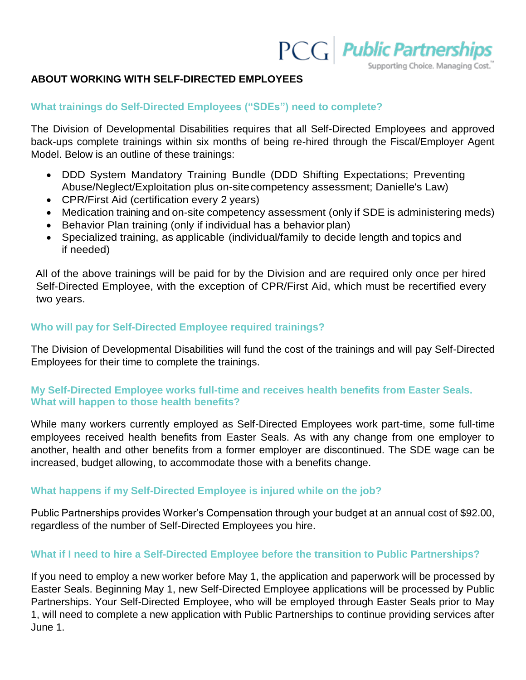

Supporting Choice. Managing Cost.

## **ABOUT WORKING WITH SELF-DIRECTED EMPLOYEES**

## **What trainings do Self-Directed Employees ("SDEs") need to complete?**

The Division of Developmental Disabilities requires that all Self-Directed Employees and approved back-ups complete trainings within six months of being re-hired through the Fiscal/Employer Agent Model. Below is an outline of these trainings:

- DDD System Mandatory Training Bundle (DDD Shifting Expectations; Preventing Abuse/Neglect/Exploitation plus on-sitecompetency assessment; Danielle's Law)
- CPR/First Aid (certification every 2 years)
- Medication training and on-site competency assessment (only if SDE is administering meds)
- Behavior Plan training (only if individual has a behavior plan)
- Specialized training, as applicable (individual/family to decide length and topics and if needed)

All of the above trainings will be paid for by the Division and are required only once per hired Self-Directed Employee, with the exception of CPR/First Aid, which must be recertified every two years.

# **Who will pay for Self-Directed Employee required trainings?**

The Division of Developmental Disabilities will fund the cost of the trainings and will pay Self-Directed Employees for their time to complete the trainings.

# **My Self-Directed Employee works full-time and receives health benefits from Easter Seals. What will happen to those health benefits?**

While many workers currently employed as Self-Directed Employees work part-time, some full-time employees received health benefits from Easter Seals. As with any change from one employer to another, health and other benefits from a former employer are discontinued. The SDE wage can be increased, budget allowing, to accommodate those with a benefits change.

# **What happens if my Self-Directed Employee is injured while on the job?**

Public Partnerships provides Worker's Compensation through your budget at an annual cost of \$92.00, regardless of the number of Self-Directed Employees you hire.

# **What if I need to hire a Self-Directed Employee before the transition to Public Partnerships?**

If you need to employ a new worker before May 1, the application and paperwork will be processed by Easter Seals. Beginning May 1, new Self-Directed Employee applications will be processed by Public Partnerships. Your Self-Directed Employee, who will be employed through Easter Seals prior to May 1, will need to complete a new application with Public Partnerships to continue providing services after June 1.